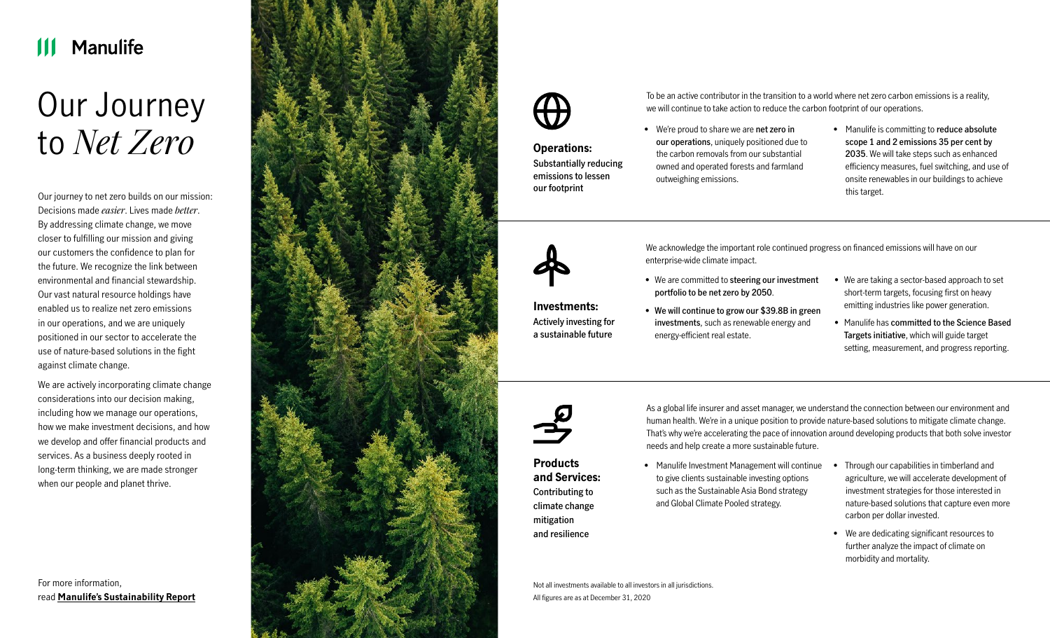### Manulife

# Our Journey to *Net Zero*

Our journey to net zero builds on our mission: Decisions made *easier*. Lives made *better*. By addressing climate change, we move closer to fulfilling our mission and giving our customers the confidence to plan for the future. We recognize the link between environmental and financial stewardship. Our vast natural resource holdings have enabled us to realize net zero emissions in our operations, and we are uniquely positioned in our sector to accelerate the use of nature-based solutions in the fight against climate change.

We are actively incorporating climate change considerations into our decision making, including how we manage our operations, how we make investment decisions, and how we develop and offer financial products and services. As a business deeply rooted in long-term thinking, we are made stronger when our people and planet thrive.

For more information, read **[Manulife's Sustainability Report](https://www.manulife.com/en/about/sustainability.html)**





**Substantially reducing emissions to lessen ourfootprint**



**Investments: Actively investing for a sustainable future**

**Products and Services: Contributing to climate change mitigation** 

**and resilience**

Not all investments available to all investors in all jurisdictions. All figures are as at December 31, 2020

To be an active contributor in the transition to a world where net zero carbon emissions is a reality, we will continue to take action to reduce the carbon footprint of our operations.

- enterprise-wide climate we are **net zero in**<br>our operations, uniquely positioned due<br>the carbon removals from our substantia<br>owned and operated forests and farmlar<br>outweighing emissions.<br>We acknowledge the important role c **our operations**, uniquely positioned due to the carbon removals from our substantial owned and operated forests and farmland outweighing emissions.
- Manulife is committing to **reduce absolute scope 1 and 2 emissions 35 per cent by 2035**. We will take steps such as enhanced efficiency measures, fuel switching, and use of onsite renewables in our buildings to achieve this target.

We acknowledge the important role continued progress on financed emissions will have on our

As a global life insurer and asset manager, we understand the connection between our environment and human health. We're in a unique position to provide nature-based solutions to mitigate climate change. That's why we're accelerating the pace of innovation around developing products that both solve investor

- We are committed to **steering our investment portfolio to be net zero by 2050**.
- **• We will continue to grow our \$39.8B in green investments**, such as renewable energy and energy-efficient real estate.

to give clients sustainable investing options such as the Sustainable Asia Bond strategy and Global Climate Pooled strategy.

needs and help create a more sustainable future.

- We are taking a sector-based approach to set short-term targets, focusing first on heavy emitting industries like power generation.
- Manulife has **committed to the Science Based Targets initiative**, which will guide target setting, measurement, and progress reporting.



• We are dedicating significant resources to further analyze the impact of climate on morbidity and mortality.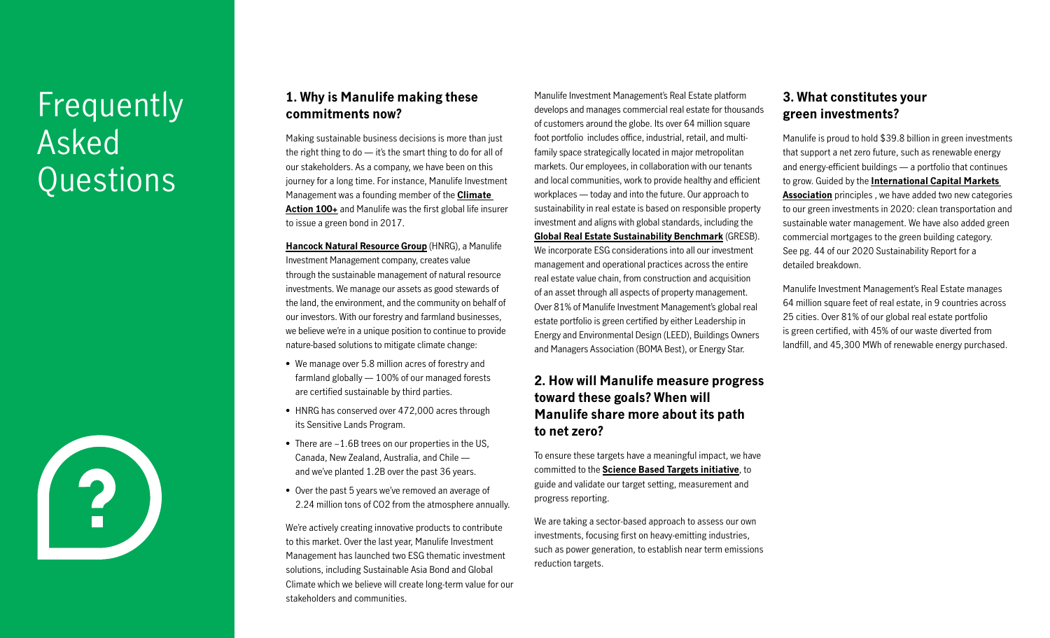### Frequently Asked Questions



### **1. Why is Manulife making these commitments now?**

Making sustainable business decisions is more than just the right thing to do — it's the smart thing to do for all of our stakeholders. As a company, we have been on this journey for a long time. For instance, Manulife Investment Management was a founding member of the **[Climate](https://www.climateaction100.org/)  [Action 100+](https://www.climateaction100.org/)** and Manulife was the first global life insurer to issue a green bond in 2017.

**[Hancock Natural Resource Group](https://hancocknaturalresourcegroup.com/sustainability-responsible-investing/)** (HNRG), a Manulife Investment Management company, creates value through the sustainable management of natural resource investments. We manage our assets as good stewards of the land, the environment, and the community on behalf of our investors. With our forestry and farmland businesses, we believe we're in a unique position to continue to provide nature-based solutions to mitigate climate change:

- We manage over 5.8 million acres of forestry and farmland globally — 100% of our managed forests are certified sustainable by third parties.
- HNRG has conserved over 472,000 acres through its Sensitive Lands Program.
- There are ~1.6B trees on our properties in the US, Canada, New Zealand, Australia, and Chile and we've planted 1.2B over the past 36 years.
- Over the past 5 years we've removed an average of 2.24 million tons of CO2 from the atmosphere annually.

We're actively creating innovative products to contribute to this market. Over the last year, Manulife Investment Management has launched two ESG thematic investment solutions, including Sustainable Asia Bond and Global Climate which we believe will create long-term value for our stakeholders and communities.

Manulife Investment Management's Real Estate platform develops and manages commercial real estate for thousands of customers around the globe. Its over 64 million square foot portfolio includes office, industrial, retail, and multifamily space strategically located in major metropolitan markets. Our employees, in collaboration with our tenants and local communities, work to provide healthy and efficient workplaces — today and into the future. Our approach to sustainability in real estate is based on responsible property investment and aligns with global standards, including the **[Global Real Estate Sustainability Benchmark](https://gresb.com/)** (GRESB). We incorporate ESG considerations into all our investment management and operational practices across the entire real estate value chain, from construction and acquisition of an asset through all aspects of property management. Over 81% of Manulife Investment Management's global real estate portfolio is green certified by either Leadership in Energy and Environmental Design (LEED), Buildings Owners and Managers Association (BOMA Best), or Energy Star.

#### **2. How will Manulife measure progress toward these goals? When will Manulife share more about its path to net zero?**

To ensure these targets have a meaningful impact, we have committed to the **[Science Based Targets initiative](https://sciencebasedtargets.org/)**, to guide and validate our target setting, measurement and progress reporting.

We are taking a sector-based approach to assess our own investments, focusing first on heavy-emitting industries, such as power generation, to establish near term emissions reduction targets.

### **3. What constitutes your green investments?**

Manulife is proud to hold \$39.8 billion in green investments that support a net zero future, such as renewable energy and energy-efficient buildings — a portfolio that continues to grow. Guided by the **[International Capital Markets](https://www.icmagroup.org/)  [Association](https://www.icmagroup.org/)** principles , we have added two new categories to our green investments in 2020: clean transportation and sustainable water management. We have also added green commercial mortgages to the green building category. See pg. 44 of our 2020 Sustainability Report for a detailed breakdown.

Manulife Investment Management's Real Estate manages 64 million square feet of real estate, in 9 countries across 25 cities. Over 81% of our global real estate portfolio is green certified, with 45% of our waste diverted from landfill, and 45,300 MWh of renewable energy purchased.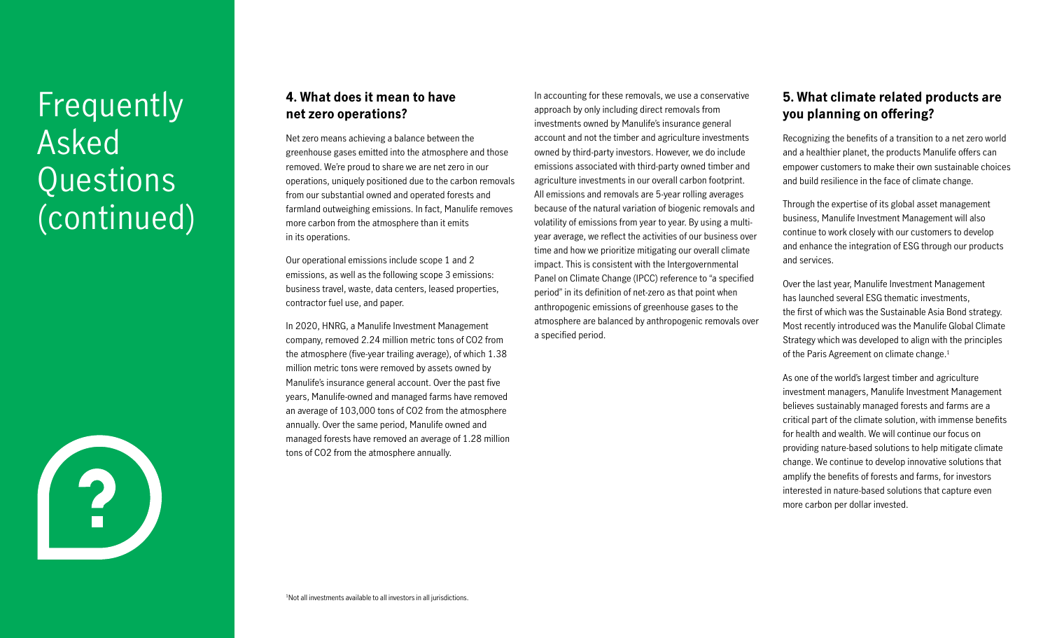## Frequently Asked **Questions** (continued)

### **4. What does it mean to have net zero operations?**

Net zero means achieving a balance between the greenhouse gases emitted into the atmosphere and those removed. We're proud to share we are net zero in our operations, uniquely positioned due to the carbon removals from our substantial owned and operated forests and farmland outweighing emissions. In fact, Manulife removes more carbon from the atmosphere than it emits in its operations.

Our operational emissions include scope 1 and 2 emissions, as well as the following scope 3 emissions: business travel, waste, data centers, leased properties, contractor fuel use, and paper.

In 2020, HNRG, a Manulife Investment Management company, removed 2.24 million metric tons of CO2 from the atmosphere (five-year trailing average), of which 1.38 million metric tons were removed by assets owned by Manulife's insurance general account. Over the past five years, Manulife-owned and managed farms have removed an average of 103,000 tons of CO2 from the atmosphere annually. Over the same period, Manulife owned and managed forests have removed an average of 1.28 million tons of CO2 from the atmosphere annually.

In accounting for these removals, we use a conservative approach by only including direct removals from investments owned by Manulife's insurance general account and not the timber and agriculture investments owned by third-party investors. However, we do include emissions associated with third-party owned timber and agriculture investments in our overall carbon footprint. All emissions and removals are 5-year rolling averages because of the natural variation of biogenic removals and volatility of emissions from year to year. By using a multiyear average, we reflect the activities of our business over time and how we prioritize mitigating our overall climate impact. This is consistent with the Intergovernmental Panel on Climate Change (IPCC) reference to "a specified period" in its definition of net-zero as that point when anthropogenic emissions of greenhouse gases to the atmosphere are balanced by anthropogenic removals over a specified period.

### **5. What climate related products are you planning on offering?**

Recognizing the benefits of a transition to a net zero world and a healthier planet, the products Manulife offers can empower customers to make their own sustainable choices and build resilience in the face of climate change.

Through the expertise of its global asset management business, Manulife Investment Management will also continue to work closely with our customers to develop and enhance the integration of ESG through our products and services.

Over the last year, Manulife Investment Management has launched several ESG thematic investments, the first of which was the Sustainable Asia Bond strategy. Most recently introduced was the Manulife Global Climate Strategy which was developed to align with the principles of the Paris Agreement on climate change.<sup>1</sup>

As one of the world's largest timber and agriculture investment managers, Manulife Investment Management believes sustainably managed forests and farms are a critical part of the climate solution, with immense benefits for health and wealth. We will continue our focus on providing nature-based solutions to help mitigate climate change. We continue to develop innovative solutions that amplify the benefits of forests and farms, for investors interested in nature-based solutions that capture even more carbon per dollar invested.